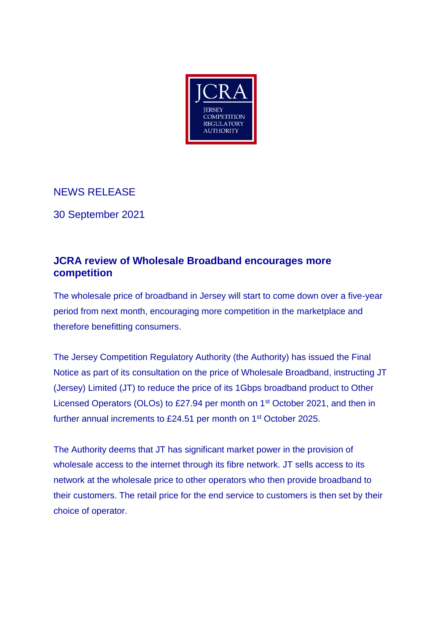

NEWS RELEASE

30 September 2021

## **JCRA review of Wholesale Broadband encourages more competition**

The wholesale price of broadband in Jersey will start to come down over a five-year period from next month, encouraging more competition in the marketplace and therefore benefitting consumers.

The Jersey Competition Regulatory Authority (the Authority) has issued the Final Notice as part of its consultation on the price of Wholesale Broadband, instructing JT (Jersey) Limited (JT) to reduce the price of its 1Gbps broadband product to Other Licensed Operators (OLOs) to £27.94 per month on 1st October 2021, and then in further annual increments to £24.51 per month on 1<sup>st</sup> October 2025.

The Authority deems that JT has significant market power in the provision of wholesale access to the internet through its fibre network. JT sells access to its network at the wholesale price to other operators who then provide broadband to their customers. The retail price for the end service to customers is then set by their choice of operator.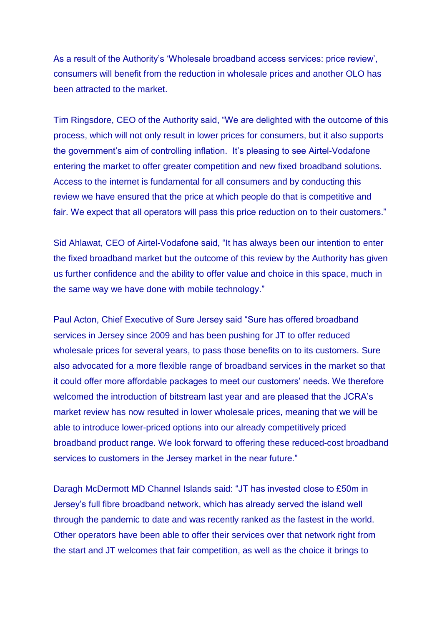As a result of the Authority's 'Wholesale broadband access services: price review', consumers will benefit from the reduction in wholesale prices and another OLO has been attracted to the market.

Tim Ringsdore, CEO of the Authority said, "We are delighted with the outcome of this process, which will not only result in lower prices for consumers, but it also supports the government's aim of controlling inflation. It's pleasing to see Airtel-Vodafone entering the market to offer greater competition and new fixed broadband solutions. Access to the internet is fundamental for all consumers and by conducting this review we have ensured that the price at which people do that is competitive and fair. We expect that all operators will pass this price reduction on to their customers."

Sid Ahlawat, CEO of Airtel-Vodafone said, "It has always been our intention to enter the fixed broadband market but the outcome of this review by the Authority has given us further confidence and the ability to offer value and choice in this space, much in the same way we have done with mobile technology."

Paul Acton, Chief Executive of Sure Jersey said "Sure has offered broadband services in Jersey since 2009 and has been pushing for JT to offer reduced wholesale prices for several years, to pass those benefits on to its customers. Sure also advocated for a more flexible range of broadband services in the market so that it could offer more affordable packages to meet our customers' needs. We therefore welcomed the introduction of bitstream last year and are pleased that the JCRA's market review has now resulted in lower wholesale prices, meaning that we will be able to introduce lower-priced options into our already competitively priced broadband product range. We look forward to offering these reduced-cost broadband services to customers in the Jersey market in the near future."

Daragh McDermott MD Channel Islands said: "JT has invested close to £50m in Jersey's full fibre broadband network, which has already served the island well through the pandemic to date and was recently ranked as the fastest in the world. Other operators have been able to offer their services over that network right from the start and JT welcomes that fair competition, as well as the choice it brings to